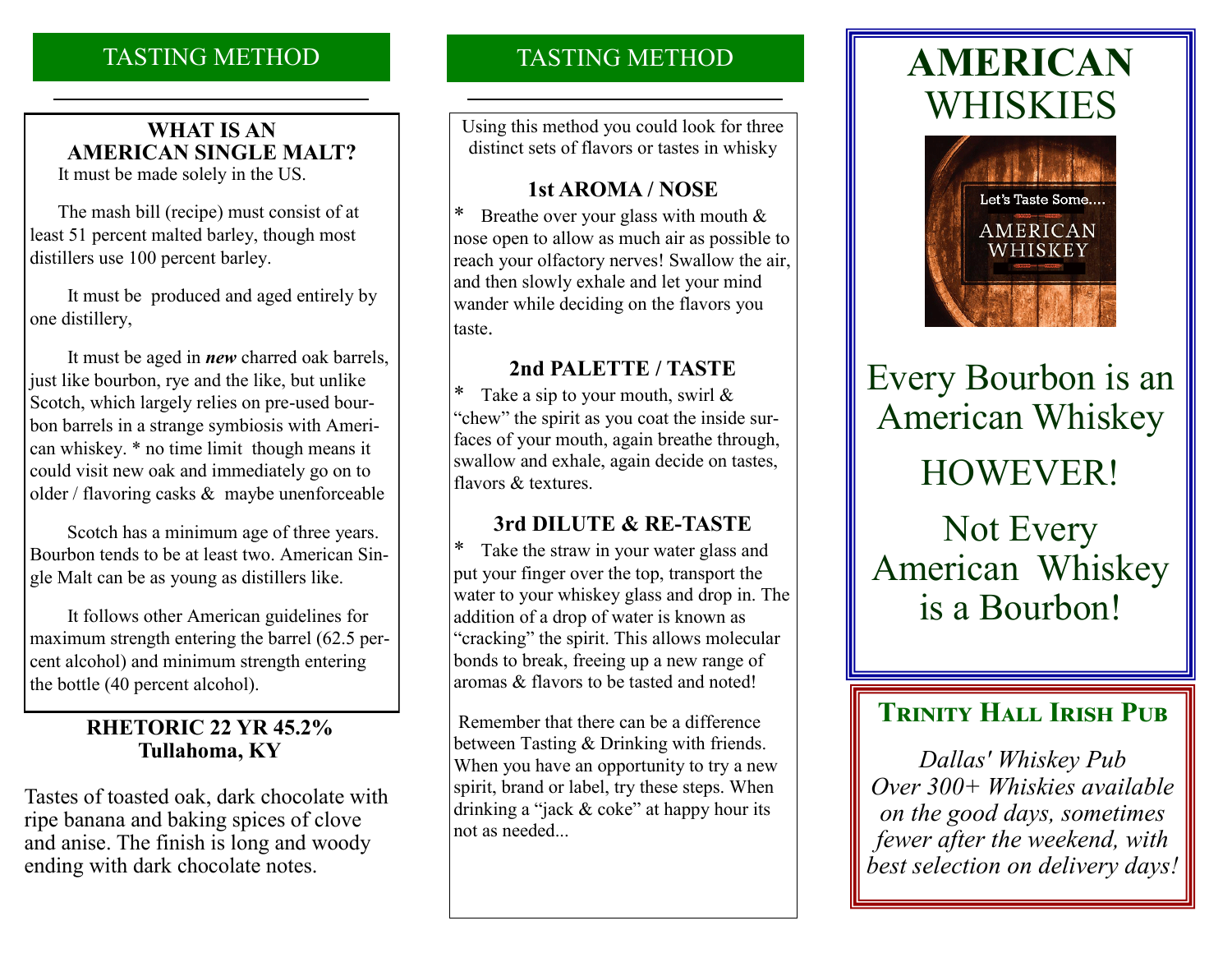# TASTING METHOD

# **WHAT IS AN AMERICAN SINGLE MALT?**

It must be made solely in the US.

 The mash bill (recipe) must consist of at least 51 percent malted barley, though most distillers use 100 percent barley.

 It must be produced and aged entirely by one distillery,

 It must be aged in *new* charred oak barrels, just like bourbon, rye and the like, but unlike Scotch, which largely relies on pre-used bourbon barrels in a strange symbiosis with American whiskey. \* no time limit though means it could visit new oak and immediately go on to older / flavoring casks & maybe unenforceable

 Scotch has a minimum age of three years. Bourbon tends to be at least two. American Single Malt can be as young as distillers like.

 It follows other American guidelines for maximum strength entering the barrel (62.5 percent alcohol) and minimum strength entering the bottle (40 percent alcohol).

### **RHETORIC 22 YR 45.2% Tullahoma, KY**

Tastes of toasted oak, dark chocolate with ripe banana and baking spices of clove and anise. The finish is long and woody ending with dark chocolate notes.

# TASTING METHOD

Using this method you could look for three distinct sets of flavors or tastes in whisky

### **1st AROMA / NOSE**

\* Breathe over your glass with mouth & nose open to allow as much air as possible to reach your olfactory nerves! Swallow the air, and then slowly exhale and let your mind wander while deciding on the flavors you taste.

### **2nd PALETTE / TASTE**

\* Take a sip to your mouth, swirl  $\&$ "chew" the spirit as you coat the inside surfaces of your mouth, again breathe through, swallow and exhale, again decide on tastes, flavors & textures.

## **3rd DILUTE & RE-TASTE**

\* Take the straw in your water glass and put your finger over the top, transport the water to your whiskey glass and drop in. The addition of a drop of water is known as "cracking" the spirit. This allows molecular bonds to break, freeing up a new range of aromas & flavors to be tasted and noted!

Remember that there can be a difference between Tasting & Drinking with friends. When you have an opportunity to try a new spirit, brand or label, try these steps. When drinking a "jack & coke" at happy hour its not as needed...

# **AMERICAN** WHISKIES



Every Bourbon is an American Whiskey HOWEVER! Not Every American Whiskey is a Bourbon!

# **TRINITY HALL IRISH PUB**

*Dallas' Whiskey Pub Over 300+ Whiskies available on the good days, sometimes fewer after the weekend, with best selection on delivery days!*